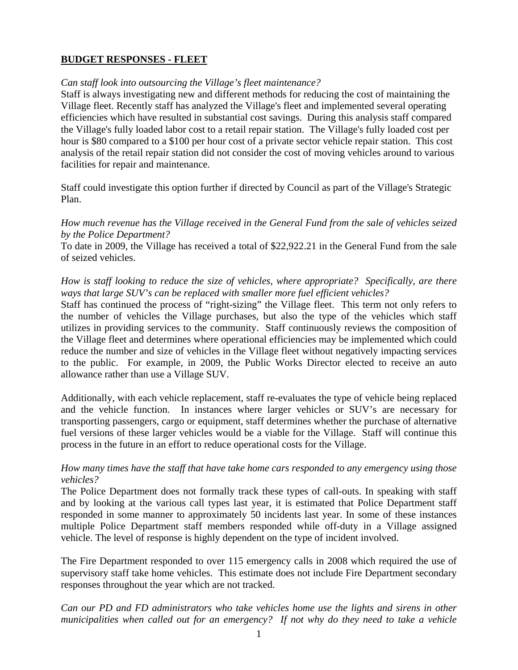# **BUDGET RESPONSES - FLEET**

### *Can staff look into outsourcing the Village's fleet maintenance?*

Staff is always investigating new and different methods for reducing the cost of maintaining the Village fleet. Recently staff has analyzed the Village's fleet and implemented several operating efficiencies which have resulted in substantial cost savings. During this analysis staff compared the Village's fully loaded labor cost to a retail repair station. The Village's fully loaded cost per hour is \$80 compared to a \$100 per hour cost of a private sector vehicle repair station. This cost analysis of the retail repair station did not consider the cost of moving vehicles around to various facilities for repair and maintenance.

Staff could investigate this option further if directed by Council as part of the Village's Strategic Plan.

*How much revenue has the Village received in the General Fund from the sale of vehicles seized by the Police Department?* 

To date in 2009, the Village has received a total of \$22,922.21 in the General Fund from the sale of seized vehicles.

*How is staff looking to reduce the size of vehicles, where appropriate? Specifically, are there ways that large SUV's can be replaced with smaller more fuel efficient vehicles?* 

Staff has continued the process of "right-sizing" the Village fleet. This term not only refers to the number of vehicles the Village purchases, but also the type of the vehicles which staff utilizes in providing services to the community. Staff continuously reviews the composition of the Village fleet and determines where operational efficiencies may be implemented which could reduce the number and size of vehicles in the Village fleet without negatively impacting services to the public. For example, in 2009, the Public Works Director elected to receive an auto allowance rather than use a Village SUV.

Additionally, with each vehicle replacement, staff re-evaluates the type of vehicle being replaced and the vehicle function. In instances where larger vehicles or SUV's are necessary for transporting passengers, cargo or equipment, staff determines whether the purchase of alternative fuel versions of these larger vehicles would be a viable for the Village. Staff will continue this process in the future in an effort to reduce operational costs for the Village.

### *How many times have the staff that have take home cars responded to any emergency using those vehicles?*

The Police Department does not formally track these types of call-outs. In speaking with staff and by looking at the various call types last year, it is estimated that Police Department staff responded in some manner to approximately 50 incidents last year. In some of these instances multiple Police Department staff members responded while off-duty in a Village assigned vehicle. The level of response is highly dependent on the type of incident involved.

The Fire Department responded to over 115 emergency calls in 2008 which required the use of supervisory staff take home vehicles. This estimate does not include Fire Department secondary responses throughout the year which are not tracked.

*Can our PD and FD administrators who take vehicles home use the lights and sirens in other municipalities when called out for an emergency? If not why do they need to take a vehicle*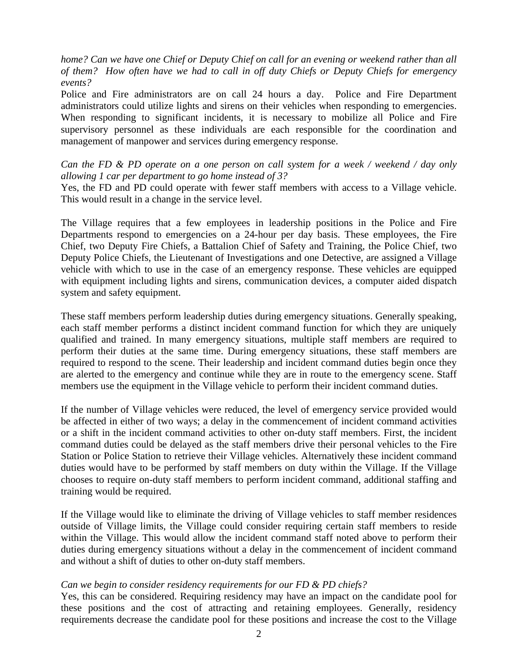*home? Can we have one Chief or Deputy Chief on call for an evening or weekend rather than all of them? How often have we had to call in off duty Chiefs or Deputy Chiefs for emergency events?* 

Police and Fire administrators are on call 24 hours a day. Police and Fire Department administrators could utilize lights and sirens on their vehicles when responding to emergencies. When responding to significant incidents, it is necessary to mobilize all Police and Fire supervisory personnel as these individuals are each responsible for the coordination and management of manpower and services during emergency response.

*Can the FD & PD operate on a one person on call system for a week / weekend / day only allowing 1 car per department to go home instead of 3?* 

Yes, the FD and PD could operate with fewer staff members with access to a Village vehicle. This would result in a change in the service level.

The Village requires that a few employees in leadership positions in the Police and Fire Departments respond to emergencies on a 24-hour per day basis. These employees, the Fire Chief, two Deputy Fire Chiefs, a Battalion Chief of Safety and Training, the Police Chief, two Deputy Police Chiefs, the Lieutenant of Investigations and one Detective, are assigned a Village vehicle with which to use in the case of an emergency response. These vehicles are equipped with equipment including lights and sirens, communication devices, a computer aided dispatch system and safety equipment.

These staff members perform leadership duties during emergency situations. Generally speaking, each staff member performs a distinct incident command function for which they are uniquely qualified and trained. In many emergency situations, multiple staff members are required to perform their duties at the same time. During emergency situations, these staff members are required to respond to the scene. Their leadership and incident command duties begin once they are alerted to the emergency and continue while they are in route to the emergency scene. Staff members use the equipment in the Village vehicle to perform their incident command duties.

If the number of Village vehicles were reduced, the level of emergency service provided would be affected in either of two ways; a delay in the commencement of incident command activities or a shift in the incident command activities to other on-duty staff members. First, the incident command duties could be delayed as the staff members drive their personal vehicles to the Fire Station or Police Station to retrieve their Village vehicles. Alternatively these incident command duties would have to be performed by staff members on duty within the Village. If the Village chooses to require on-duty staff members to perform incident command, additional staffing and training would be required.

If the Village would like to eliminate the driving of Village vehicles to staff member residences outside of Village limits, the Village could consider requiring certain staff members to reside within the Village. This would allow the incident command staff noted above to perform their duties during emergency situations without a delay in the commencement of incident command and without a shift of duties to other on-duty staff members.

#### *Can we begin to consider residency requirements for our FD & PD chiefs?*

Yes, this can be considered. Requiring residency may have an impact on the candidate pool for these positions and the cost of attracting and retaining employees. Generally, residency requirements decrease the candidate pool for these positions and increase the cost to the Village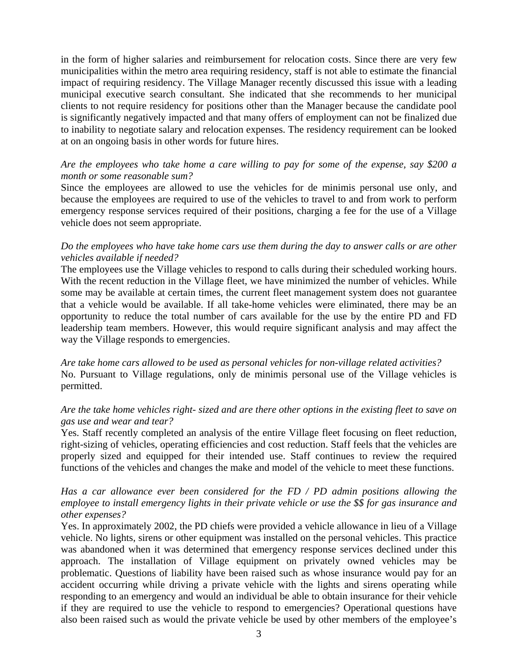in the form of higher salaries and reimbursement for relocation costs. Since there are very few municipalities within the metro area requiring residency, staff is not able to estimate the financial impact of requiring residency. The Village Manager recently discussed this issue with a leading municipal executive search consultant. She indicated that she recommends to her municipal clients to not require residency for positions other than the Manager because the candidate pool is significantly negatively impacted and that many offers of employment can not be finalized due to inability to negotiate salary and relocation expenses. The residency requirement can be looked at on an ongoing basis in other words for future hires.

## *Are the employees who take home a care willing to pay for some of the expense, say \$200 a month or some reasonable sum?*

Since the employees are allowed to use the vehicles for de minimis personal use only, and because the employees are required to use of the vehicles to travel to and from work to perform emergency response services required of their positions, charging a fee for the use of a Village vehicle does not seem appropriate.

## *Do the employees who have take home cars use them during the day to answer calls or are other vehicles available if needed?*

The employees use the Village vehicles to respond to calls during their scheduled working hours. With the recent reduction in the Village fleet, we have minimized the number of vehicles. While some may be available at certain times, the current fleet management system does not guarantee that a vehicle would be available. If all take-home vehicles were eliminated, there may be an opportunity to reduce the total number of cars available for the use by the entire PD and FD leadership team members. However, this would require significant analysis and may affect the way the Village responds to emergencies.

*Are take home cars allowed to be used as personal vehicles for non-village related activities?*  No. Pursuant to Village regulations, only de minimis personal use of the Village vehicles is permitted.

# *Are the take home vehicles right- sized and are there other options in the existing fleet to save on gas use and wear and tear?*

Yes. Staff recently completed an analysis of the entire Village fleet focusing on fleet reduction, right-sizing of vehicles, operating efficiencies and cost reduction. Staff feels that the vehicles are properly sized and equipped for their intended use. Staff continues to review the required functions of the vehicles and changes the make and model of the vehicle to meet these functions.

### *Has a car allowance ever been considered for the FD / PD admin positions allowing the employee to install emergency lights in their private vehicle or use the \$\$ for gas insurance and other expenses?*

Yes. In approximately 2002, the PD chiefs were provided a vehicle allowance in lieu of a Village vehicle. No lights, sirens or other equipment was installed on the personal vehicles. This practice was abandoned when it was determined that emergency response services declined under this approach. The installation of Village equipment on privately owned vehicles may be problematic. Questions of liability have been raised such as whose insurance would pay for an accident occurring while driving a private vehicle with the lights and sirens operating while responding to an emergency and would an individual be able to obtain insurance for their vehicle if they are required to use the vehicle to respond to emergencies? Operational questions have also been raised such as would the private vehicle be used by other members of the employee's